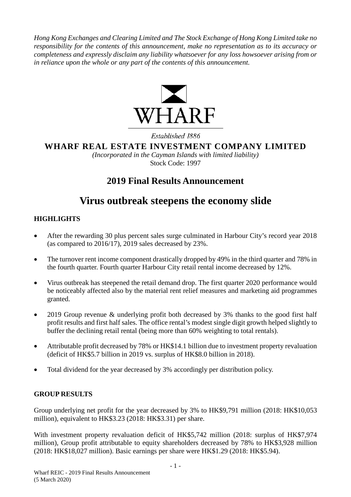*Hong Kong Exchanges and Clearing Limited and The Stock Exchange of Hong Kong Limited take no responsibility for the contents of this announcement, make no representation as to its accuracy or completeness and expressly disclaim any liability whatsoever for any loss howsoever arising from or in reliance upon the whole or any part of the contents of this announcement.*



# Established 1886 **WHARF REAL ESTATE INVESTMENT COMPANY LIMITED**

*(Incorporated in the Cayman Islands with limited liability)* Stock Code: 1997

# **2019 Final Results Announcement**

# **Virus outbreak steepens the economy slide**

# **HIGHLIGHTS**

- After the rewarding 30 plus percent sales surge culminated in Harbour City's record year 2018 (as compared to 2016/17), 2019 sales decreased by 23%.
- The turnover rent income component drastically dropped by 49% in the third quarter and 78% in the fourth quarter. Fourth quarter Harbour City retail rental income decreased by 12%.
- Virus outbreak has steepened the retail demand drop. The first quarter 2020 performance would be noticeably affected also by the material rent relief measures and marketing aid programmes granted.
- 2019 Group revenue & underlying profit both decreased by 3% thanks to the good first half profit results and first half sales. The office rental's modest single digit growth helped slightly to buffer the declining retail rental (being more than 60% weighting to total rentals).
- Attributable profit decreased by 78% or HK\$14.1 billion due to investment property revaluation (deficit of HK\$5.7 billion in 2019 vs. surplus of HK\$8.0 billion in 2018).
- Total dividend for the year decreased by 3% accordingly per distribution policy.

# **GROUP RESULTS**

Group underlying net profit for the year decreased by 3% to HK\$9,791 million (2018: HK\$10,053 million), equivalent to HK\$3.23 (2018: HK\$3.31) per share.

With investment property revaluation deficit of HK\$5,742 million (2018: surplus of HK\$7,974 million), Group profit attributable to equity shareholders decreased by 78% to HK\$3,928 million (2018: HK\$18,027 million). Basic earnings per share were HK\$1.29 (2018: HK\$5.94).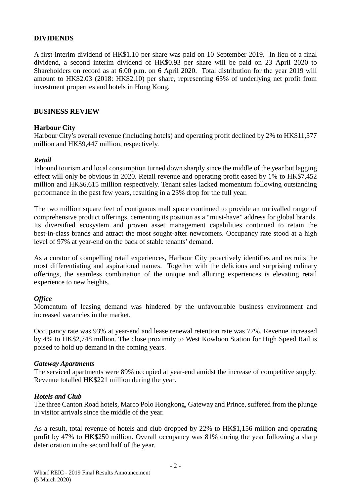### **DIVIDENDS**

A first interim dividend of HK\$1.10 per share was paid on 10 September 2019. In lieu of a final dividend, a second interim dividend of HK\$0.93 per share will be paid on 23 April 2020 to Shareholders on record as at 6:00 p.m. on 6 April 2020. Total distribution for the year 2019 will amount to HK\$2.03 (2018: HK\$2.10) per share, representing 65% of underlying net profit from investment properties and hotels in Hong Kong.

#### **BUSINESS REVIEW**

#### **Harbour City**

Harbour City's overall revenue (including hotels) and operating profit declined by 2% to HK\$11,577 million and HK\$9,447 million, respectively.

#### *Retail*

Inbound tourism and local consumption turned down sharply since the middle of the year but lagging effect will only be obvious in 2020. Retail revenue and operating profit eased by 1% to HK\$7,452 million and HK\$6,615 million respectively. Tenant sales lacked momentum following outstanding performance in the past few years, resulting in a 23% drop for the full year.

The two million square feet of contiguous mall space continued to provide an unrivalled range of comprehensive product offerings, cementing its position as a "must-have" address for global brands. Its diversified ecosystem and proven asset management capabilities continued to retain the best-in-class brands and attract the most sought-after newcomers. Occupancy rate stood at a high level of 97% at year-end on the back of stable tenants' demand.

As a curator of compelling retail experiences, Harbour City proactively identifies and recruits the most differentiating and aspirational names. Together with the delicious and surprising culinary offerings, the seamless combination of the unique and alluring experiences is elevating retail experience to new heights.

#### *Office*

Momentum of leasing demand was hindered by the unfavourable business environment and increased vacancies in the market.

Occupancy rate was 93% at year-end and lease renewal retention rate was 77%. Revenue increased by 4% to HK\$2,748 million. The close proximity to West Kowloon Station for High Speed Rail is poised to hold up demand in the coming years.

#### *Gateway Apartments*

The serviced apartments were 89% occupied at year-end amidst the increase of competitive supply. Revenue totalled HK\$221 million during the year.

#### *Hotels and Club*

The three Canton Road hotels, Marco Polo Hongkong, Gateway and Prince, suffered from the plunge in visitor arrivals since the middle of the year.

As a result, total revenue of hotels and club dropped by 22% to HK\$1,156 million and operating profit by 47% to HK\$250 million. Overall occupancy was 81% during the year following a sharp deterioration in the second half of the year.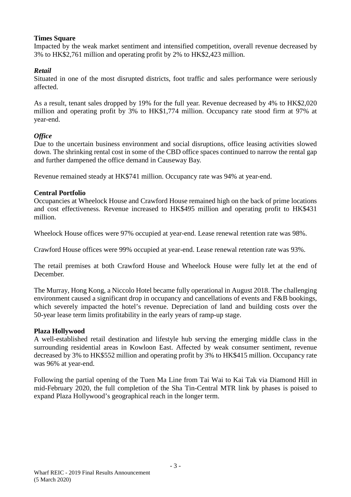#### **Times Square**

Impacted by the weak market sentiment and intensified competition, overall revenue decreased by 3% to HK\$2,761 million and operating profit by 2% to HK\$2,423 million.

### *Retail*

Situated in one of the most disrupted districts, foot traffic and sales performance were seriously affected.

As a result, tenant sales dropped by 19% for the full year. Revenue decreased by 4% to HK\$2,020 million and operating profit by 3% to HK\$1,774 million. Occupancy rate stood firm at 97% at year-end.

#### *Office*

Due to the uncertain business environment and social disruptions, office leasing activities slowed down. The shrinking rental cost in some of the CBD office spaces continued to narrow the rental gap and further dampened the office demand in Causeway Bay.

Revenue remained steady at HK\$741 million. Occupancy rate was 94% at year-end.

### **Central Portfolio**

Occupancies at Wheelock House and Crawford House remained high on the back of prime locations and cost effectiveness. Revenue increased to HK\$495 million and operating profit to HK\$431 million.

Wheelock House offices were 97% occupied at year-end. Lease renewal retention rate was 98%.

Crawford House offices were 99% occupied at year-end. Lease renewal retention rate was 93%.

The retail premises at both Crawford House and Wheelock House were fully let at the end of December.

The Murray, Hong Kong, a Niccolo Hotel became fully operational in August 2018. The challenging environment caused a significant drop in occupancy and cancellations of events and F&B bookings, which severely impacted the hotel's revenue. Depreciation of land and building costs over the 50-year lease term limits profitability in the early years of ramp-up stage.

#### **Plaza Hollywood**

A well-established retail destination and lifestyle hub serving the emerging middle class in the surrounding residential areas in Kowloon East. Affected by weak consumer sentiment, revenue decreased by 3% to HK\$552 million and operating profit by 3% to HK\$415 million. Occupancy rate was 96% at year-end.

Following the partial opening of the Tuen Ma Line from Tai Wai to Kai Tak via Diamond Hill in mid-February 2020, the full completion of the Sha Tin-Central MTR link by phases is poised to expand Plaza Hollywood's geographical reach in the longer term.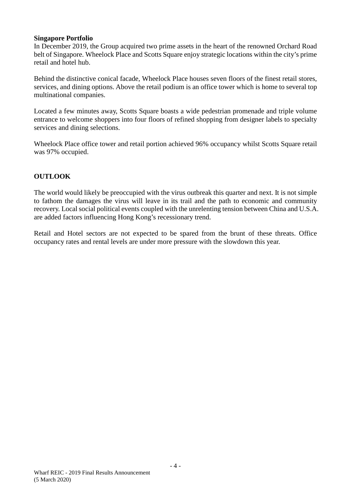#### **Singapore Portfolio**

In December 2019, the Group acquired two prime assets in the heart of the renowned Orchard Road belt of Singapore. Wheelock Place and Scotts Square enjoy strategic locations within the city's prime retail and hotel hub.

Behind the distinctive conical facade, Wheelock Place houses seven floors of the finest retail stores, services, and dining options. Above the retail podium is an office tower which is home to several top multinational companies.

Located a few minutes away, Scotts Square boasts a wide pedestrian promenade and triple volume entrance to welcome shoppers into four floors of refined shopping from designer labels to specialty services and dining selections.

Wheelock Place office tower and retail portion achieved 96% occupancy whilst Scotts Square retail was 97% occupied.

### **OUTLOOK**

The world would likely be preoccupied with the virus outbreak this quarter and next. It is not simple to fathom the damages the virus will leave in its trail and the path to economic and community recovery. Local social political events coupled with the unrelenting tension between China and U.S.A. are added factors influencing Hong Kong's recessionary trend.

Retail and Hotel sectors are not expected to be spared from the brunt of these threats. Office occupancy rates and rental levels are under more pressure with the slowdown this year.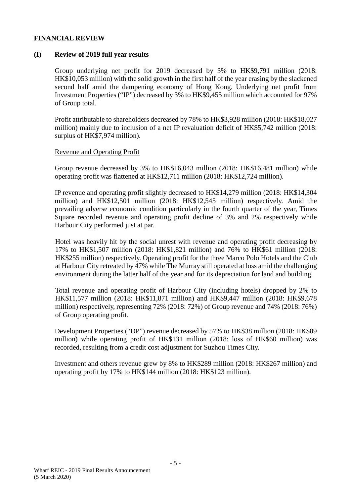#### **FINANCIAL REVIEW**

#### **(I) Review of 2019 full year results**

Group underlying net profit for 2019 decreased by 3% to HK\$9,791 million (2018: HK\$10,053 million) with the solid growth in the first half of the year erasing by the slackened second half amid the dampening economy of Hong Kong. Underlying net profit from Investment Properties ("IP") decreased by 3% to HK\$9,455 million which accounted for 97% of Group total.

Profit attributable to shareholders decreased by 78% to HK\$3,928 million (2018: HK\$18,027 million) mainly due to inclusion of a net IP revaluation deficit of HK\$5,742 million (2018: surplus of HK\$7,974 million).

#### Revenue and Operating Profit

Group revenue decreased by 3% to HK\$16,043 million (2018: HK\$16,481 million) while operating profit was flattened at HK\$12,711 million (2018: HK\$12,724 million).

IP revenue and operating profit slightly decreased to HK\$14,279 million (2018: HK\$14,304 million) and HK\$12,501 million (2018: HK\$12,545 million) respectively. Amid the prevailing adverse economic condition particularly in the fourth quarter of the year, Times Square recorded revenue and operating profit decline of 3% and 2% respectively while Harbour City performed just at par.

Hotel was heavily hit by the social unrest with revenue and operating profit decreasing by 17% to HK\$1,507 million (2018: HK\$1,821 million) and 76% to HK\$61 million (2018: HK\$255 million) respectively. Operating profit for the three Marco Polo Hotels and the Club at Harbour City retreated by 47% while The Murray still operated at loss amid the challenging environment during the latter half of the year and for its depreciation for land and building.

Total revenue and operating profit of Harbour City (including hotels) dropped by 2% to HK\$11,577 million (2018: HK\$11,871 million) and HK\$9,447 million (2018: HK\$9,678 million) respectively, representing 72% (2018: 72%) of Group revenue and 74% (2018: 76%) of Group operating profit.

Development Properties ("DP") revenue decreased by 57% to HK\$38 million (2018: HK\$89 million) while operating profit of HK\$131 million (2018: loss of HK\$60 million) was recorded, resulting from a credit cost adjustment for Suzhou Times City.

Investment and others revenue grew by 8% to HK\$289 million (2018: HK\$267 million) and operating profit by 17% to HK\$144 million (2018: HK\$123 million).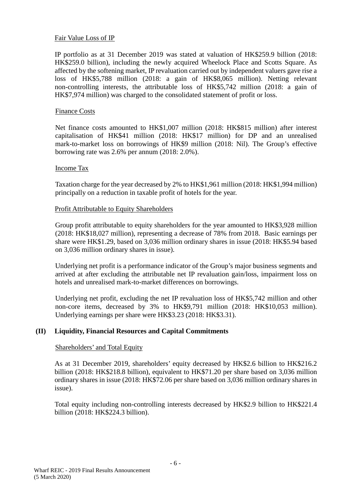#### Fair Value Loss of IP

IP portfolio as at 31 December 2019 was stated at valuation of HK\$259.9 billion (2018: HK\$259.0 billion), including the newly acquired Wheelock Place and Scotts Square. As affected by the softening market, IP revaluation carried out by independent valuers gave rise a loss of HK\$5,788 million (2018: a gain of HK\$8,065 million). Netting relevant non-controlling interests, the attributable loss of HK\$5,742 million (2018: a gain of HK\$7,974 million) was charged to the consolidated statement of profit or loss.

#### Finance Costs

Net finance costs amounted to HK\$1,007 million (2018: HK\$815 million) after interest capitalisation of HK\$41 million (2018: HK\$17 million) for DP and an unrealised mark-to-market loss on borrowings of HK\$9 million (2018: Nil). The Group's effective borrowing rate was 2.6% per annum (2018: 2.0%).

#### Income Tax

Taxation charge for the year decreased by 2% to HK\$1,961 million (2018: HK\$1,994 million) principally on a reduction in taxable profit of hotels for the year.

#### Profit Attributable to Equity Shareholders

Group profit attributable to equity shareholders for the year amounted to HK\$3,928 million (2018: HK\$18,027 million), representing a decrease of 78% from 2018. Basic earnings per share were HK\$1.29, based on 3,036 million ordinary shares in issue (2018: HK\$5.94 based on 3,036 million ordinary shares in issue).

Underlying net profit is a performance indicator of the Group's major business segments and arrived at after excluding the attributable net IP revaluation gain/loss, impairment loss on hotels and unrealised mark-to-market differences on borrowings.

Underlying net profit, excluding the net IP revaluation loss of HK\$5,742 million and other non-core items, decreased by 3% to HK\$9,791 million (2018: HK\$10,053 million). Underlying earnings per share were HK\$3.23 (2018: HK\$3.31).

#### **(II) Liquidity, Financial Resources and Capital Commitments**

#### Shareholders' and Total Equity

As at 31 December 2019, shareholders' equity decreased by HK\$2.6 billion to HK\$216.2 billion (2018: HK\$218.8 billion), equivalent to HK\$71.20 per share based on 3,036 million ordinary shares in issue (2018: HK\$72.06 per share based on 3,036 million ordinary shares in issue).

Total equity including non-controlling interests decreased by HK\$2.9 billion to HK\$221.4 billion (2018: HK\$224.3 billion).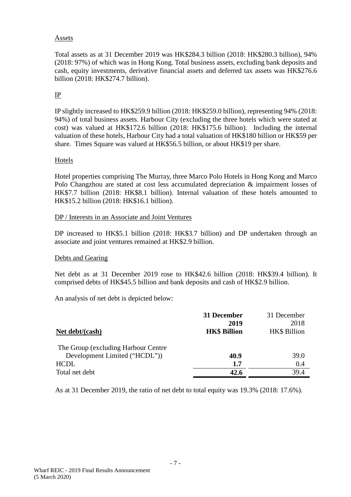#### Assets

Total assets as at 31 December 2019 was HK\$284.3 billion (2018: HK\$280.3 billion), 94% (2018: 97%) of which was in Hong Kong. Total business assets, excluding bank deposits and cash, equity investments, derivative financial assets and deferred tax assets was HK\$276.6 billion (2018: HK\$274.7 billion).

# IP

IP slightly increased to HK\$259.9 billion (2018: HK\$259.0 billion), representing 94% (2018: 94%) of total business assets. Harbour City (excluding the three hotels which were stated at cost) was valued at HK\$172.6 billion (2018: HK\$175.6 billion). Including the internal valuation of these hotels, Harbour City had a total valuation of HK\$180 billion or HK\$59 per share. Times Square was valued at HK\$56.5 billion, or about HK\$19 per share.

#### Hotels

Hotel properties comprising The Murray, three Marco Polo Hotels in Hong Kong and Marco Polo Changzhou are stated at cost less accumulated depreciation & impairment losses of HK\$7.7 billion (2018: HK\$8.1 billion). Internal valuation of these hotels amounted to HK\$15.2 billion (2018: HK\$16.1 billion).

#### DP / Interests in an Associate and Joint Ventures

DP increased to HK\$5.1 billion (2018: HK\$3.7 billion) and DP undertaken through an associate and joint ventures remained at HK\$2.9 billion.

#### Debts and Gearing

Net debt as at 31 December 2019 rose to HK\$42.6 billion (2018: HK\$39.4 billion). It comprised debts of HK\$45.5 billion and bank deposits and cash of HK\$2.9 billion.

An analysis of net debt is depicted below:

|                                     | 31 December         | 31 December  |
|-------------------------------------|---------------------|--------------|
|                                     | 2019                | 2018         |
| Net debt/(cash)                     | <b>HK\$ Billion</b> | HK\$ Billion |
| The Group (excluding Harbour Centre |                     |              |
| Development Limited ("HCDL"))       | 40.9                | 39.0         |
| <b>HCDL</b>                         | 1.7                 | 0.4          |
| Total net debt                      | 42.6                | 39.4         |

As at 31 December 2019, the ratio of net debt to total equity was 19.3% (2018: 17.6%).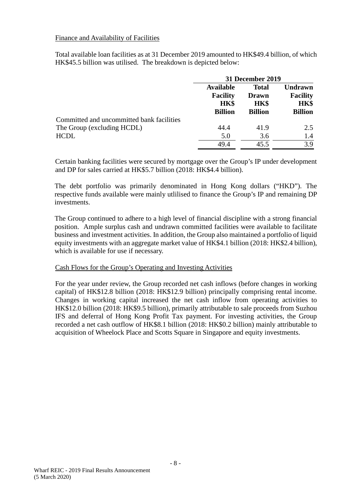#### Finance and Availability of Facilities

Total available loan facilities as at 31 December 2019 amounted to HK\$49.4 billion, of which HK\$45.5 billion was utilised. The breakdown is depicted below:

|                                           | 31 December 2019                                                     |                                                               |                                                             |
|-------------------------------------------|----------------------------------------------------------------------|---------------------------------------------------------------|-------------------------------------------------------------|
|                                           | <b>Available</b><br><b>Facility</b><br><b>HK\$</b><br><b>Billion</b> | <b>Total</b><br><b>Drawn</b><br><b>HK\$</b><br><b>Billion</b> | <b>Undrawn</b><br><b>Facility</b><br>HK\$<br><b>Billion</b> |
| Committed and uncommitted bank facilities |                                                                      |                                                               |                                                             |
| The Group (excluding HCDL)                | 44.4                                                                 | 41.9                                                          | 2.5                                                         |
| <b>HCDL</b>                               | 5.0                                                                  | 3.6                                                           | 1.4                                                         |
|                                           | 49.4                                                                 | 45.5                                                          | 3.9                                                         |

Certain banking facilities were secured by mortgage over the Group's IP under development and DP for sales carried at HK\$5.7 billion (2018: HK\$4.4 billion).

The debt portfolio was primarily denominated in Hong Kong dollars ("HKD"). The respective funds available were mainly utlilised to finance the Group's IP and remaining DP investments.

The Group continued to adhere to a high level of financial discipline with a strong financial position. Ample surplus cash and undrawn committed facilities were available to facilitate business and investment activities. In addition, the Group also maintained a portfolio of liquid equity investments with an aggregate market value of HK\$4.1 billion (2018: HK\$2.4 billion), which is available for use if necessary.

#### Cash Flows for the Group's Operating and Investing Activities

For the year under review, the Group recorded net cash inflows (before changes in working capital) of HK\$12.8 billion (2018: HK\$12.9 billion) principally comprising rental income. Changes in working capital increased the net cash inflow from operating activities to HK\$12.0 billion (2018: HK\$9.5 billion), primarily attributable to sale proceeds from Suzhou IFS and deferral of Hong Kong Profit Tax payment. For investing activities, the Group recorded a net cash outflow of HK\$8.1 billion (2018: HK\$0.2 billion) mainly attributable to acquisition of Wheelock Place and Scotts Square in Singapore and equity investments.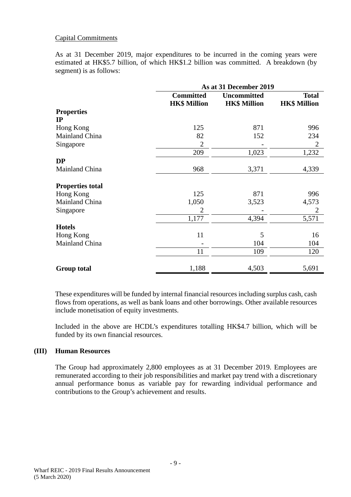#### Capital Commitments

As at 31 December 2019, major expenditures to be incurred in the coming years were estimated at HK\$5.7 billion, of which HK\$1.2 billion was committed. A breakdown (by segment) is as follows:

|                         | As at 31 December 2019                  |                                           |                                     |  |  |
|-------------------------|-----------------------------------------|-------------------------------------------|-------------------------------------|--|--|
|                         | <b>Committed</b><br><b>HK\$ Million</b> | <b>Uncommitted</b><br><b>HK\$ Million</b> | <b>Total</b><br><b>HK\$ Million</b> |  |  |
| <b>Properties</b>       |                                         |                                           |                                     |  |  |
| $_{\rm IP}$             |                                         |                                           |                                     |  |  |
| Hong Kong               | 125                                     | 871                                       | 996                                 |  |  |
| Mainland China          | 82                                      | 152                                       | 234                                 |  |  |
| Singapore               | $\overline{2}$                          |                                           | 2                                   |  |  |
|                         | 209                                     | 1,023                                     | 1,232                               |  |  |
| <b>DP</b>               |                                         |                                           |                                     |  |  |
| Mainland China          | 968                                     | 3,371                                     | 4,339                               |  |  |
| <b>Properties total</b> |                                         |                                           |                                     |  |  |
| Hong Kong               | 125                                     | 871                                       | 996                                 |  |  |
| Mainland China          | 1,050                                   | 3,523                                     | 4,573                               |  |  |
| Singapore               | $\overline{2}$                          |                                           | 2                                   |  |  |
|                         | 1,177                                   | 4,394                                     | 5,571                               |  |  |
| <b>Hotels</b>           |                                         |                                           |                                     |  |  |
| Hong Kong               | 11                                      | 5                                         | 16                                  |  |  |
| Mainland China          |                                         | 104                                       | 104                                 |  |  |
|                         | 11                                      | 109                                       | 120                                 |  |  |
| <b>Group total</b>      | 1,188                                   | 4,503                                     | 5,691                               |  |  |

These expenditures will be funded by internal financial resources including surplus cash, cash flows from operations, as well as bank loans and other borrowings. Other available resources include monetisation of equity investments.

Included in the above are HCDL's expenditures totalling HK\$4.7 billion, which will be funded by its own financial resources.

#### **(III) Human Resources**

The Group had approximately 2,800 employees as at 31 December 2019. Employees are remunerated according to their job responsibilities and market pay trend with a discretionary annual performance bonus as variable pay for rewarding individual performance and contributions to the Group's achievement and results.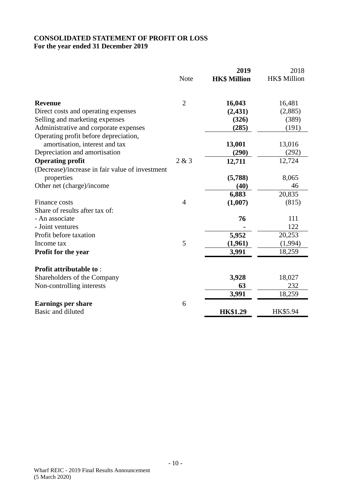# **CONSOLIDATED STATEMENT OF PROFIT OR LOSS For the year ended 31 December 2019**

|                                                                         |                | 2019                | 2018                |
|-------------------------------------------------------------------------|----------------|---------------------|---------------------|
|                                                                         | <b>Note</b>    | <b>HK\$ Million</b> | <b>HK\$ Million</b> |
| <b>Revenue</b>                                                          | $\overline{2}$ | 16,043              | 16,481              |
| Direct costs and operating expenses                                     |                | (2, 431)            | (2,885)             |
| Selling and marketing expenses                                          |                | (326)               | (389)               |
| Administrative and corporate expenses                                   |                | (285)               | (191)               |
| Operating profit before depreciation,<br>amortisation, interest and tax |                | 13,001              | 13,016              |
| Depreciation and amortisation                                           |                | (290)               | (292)               |
| <b>Operating profit</b>                                                 | 2 & 3          | 12,711              | 12,724              |
| (Decrease)/increase in fair value of investment<br>properties           |                | (5,788)             | 8,065               |
| Other net (charge)/income                                               |                | (40)                | 46                  |
|                                                                         |                | 6,883               | 20,835              |
| Finance costs                                                           | $\overline{4}$ | (1,007)             | (815)               |
| Share of results after tax of:                                          |                |                     |                     |
| - An associate                                                          |                | 76                  | 111                 |
| - Joint ventures                                                        |                |                     | 122                 |
| Profit before taxation                                                  |                | 5,952               | 20,253              |
| Income tax                                                              | 5              | (1,961)             | (1,994)             |
| Profit for the year                                                     |                | 3,991               | 18,259              |
| <b>Profit attributable to:</b>                                          |                |                     |                     |
| Shareholders of the Company                                             |                | 3,928               | 18,027              |
| Non-controlling interests                                               |                | 63                  | 232                 |
|                                                                         |                | 3,991               | 18,259              |
| <b>Earnings per share</b><br>Basic and diluted                          | 6              | <b>HK\$1.29</b>     | HK\$5.94            |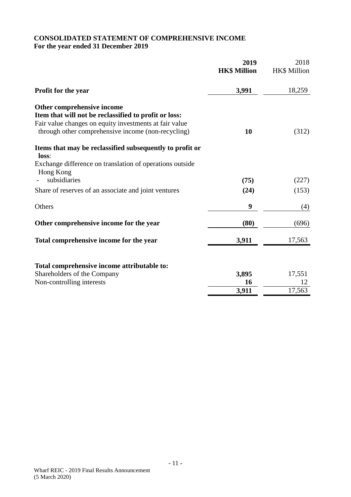# **CONSOLIDATED STATEMENT OF COMPREHENSIVE INCOME For the year ended 31 December 2019**

|                                                                                                                                                                                                     | 2019<br><b>HK\$ Million</b> | 2018<br>HK\$ Million |
|-----------------------------------------------------------------------------------------------------------------------------------------------------------------------------------------------------|-----------------------------|----------------------|
| <b>Profit for the year</b>                                                                                                                                                                          | 3,991                       | 18,259               |
| Other comprehensive income<br>Item that will not be reclassified to profit or loss:<br>Fair value changes on equity investments at fair value<br>through other comprehensive income (non-recycling) | 10                          | (312)                |
| Items that may be reclassified subsequently to profit or<br>loss:<br>Exchange difference on translation of operations outside                                                                       |                             |                      |
| Hong Kong<br>subsidiaries                                                                                                                                                                           | (75)                        | (227)                |
| Share of reserves of an associate and joint ventures                                                                                                                                                | (24)                        | (153)                |
| Others                                                                                                                                                                                              | 9                           | (4)                  |
| Other comprehensive income for the year                                                                                                                                                             | (80)                        | (696)                |
| Total comprehensive income for the year                                                                                                                                                             | 3,911                       | 17,563               |
| Total comprehensive income attributable to:                                                                                                                                                         |                             |                      |
| Shareholders of the Company<br>Non-controlling interests                                                                                                                                            | 3,895<br>16                 | 17,551<br>12         |
|                                                                                                                                                                                                     | 3,911                       | 17,563               |
|                                                                                                                                                                                                     |                             |                      |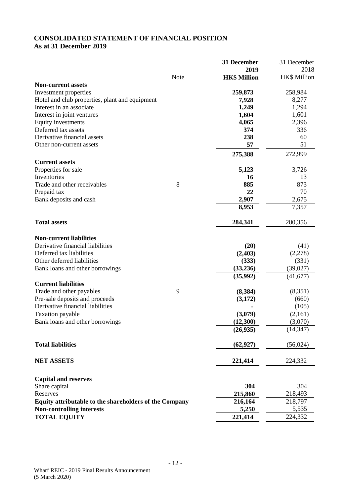# **CONSOLIDATED STATEMENT OF FINANCIAL POSITION As at 31 December 2019**

|                                                        |       | 31 December         | 31 December  |
|--------------------------------------------------------|-------|---------------------|--------------|
|                                                        |       | 2019                | 2018         |
|                                                        | Note  | <b>HK\$ Million</b> | HK\$ Million |
| <b>Non-current assets</b>                              |       |                     |              |
| Investment properties                                  |       | 259,873             | 258,984      |
| Hotel and club properties, plant and equipment         |       | 7,928               | 8,277        |
| Interest in an associate                               |       | 1,249               | 1,294        |
| Interest in joint ventures                             |       | 1,604               | 1,601        |
| Equity investments                                     |       | 4,065               | 2,396        |
| Deferred tax assets                                    |       | 374                 | 336          |
| Derivative financial assets                            |       | 238                 | 60           |
| Other non-current assets                               |       | 57                  | 51           |
|                                                        |       | 275,388             | 272,999      |
| <b>Current assets</b>                                  |       |                     |              |
| Properties for sale                                    |       | 5,123               | 3,726        |
| Inventories                                            |       | 16                  | 13           |
| Trade and other receivables                            | $8\,$ | 885                 | 873          |
| Prepaid tax                                            |       | 22                  | 70           |
| Bank deposits and cash                                 |       | 2,907               | 2,675        |
|                                                        |       | 8,953               | 7,357        |
|                                                        |       |                     |              |
| <b>Total assets</b>                                    |       | 284,341             | 280,356      |
|                                                        |       |                     |              |
| <b>Non-current liabilities</b>                         |       |                     |              |
| Derivative financial liabilities                       |       | (20)                | (41)         |
| Deferred tax liabilities                               |       | (2,403)             | (2,278)      |
| Other deferred liabilities                             |       | (333)               | (331)        |
| Bank loans and other borrowings                        |       | (33,236)            | (39, 027)    |
|                                                        |       | (35,992)            | (41, 677)    |
| <b>Current liabilities</b>                             |       |                     |              |
| Trade and other payables                               | 9     | (8,384)             | (8,351)      |
| Pre-sale deposits and proceeds                         |       | (3,172)             | (660)        |
| Derivative financial liabilities                       |       |                     | (105)        |
| Taxation payable                                       |       | (3,079)             | (2,161)      |
| Bank loans and other borrowings                        |       | (12,300)            | (3,070)      |
|                                                        |       | (26,935)            | (14, 347)    |
|                                                        |       |                     |              |
| <b>Total liabilities</b>                               |       | (62, 927)           | (56, 024)    |
| <b>NET ASSETS</b>                                      |       | 221,414             | 224,332      |
|                                                        |       |                     |              |
| <b>Capital and reserves</b>                            |       |                     |              |
| Share capital                                          |       | 304                 | 304          |
| Reserves                                               |       | 215,860             | 218,493      |
| Equity attributable to the shareholders of the Company |       | 216,164             | 218,797      |
| <b>Non-controlling interests</b>                       |       | 5,250               | 5,535        |
|                                                        |       | 221,414             |              |
| <b>TOTAL EQUITY</b>                                    |       |                     | 224,332      |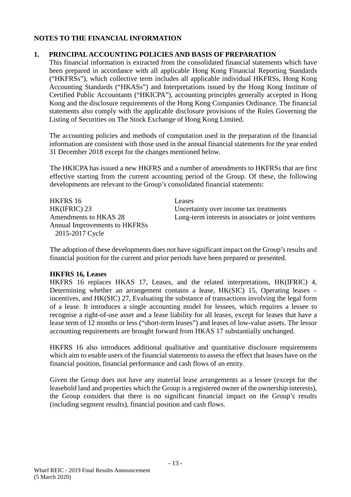## **NOTES TO THE FINANCIAL INFORMATION**

#### **1. PRINCIPAL ACCOUNTING POLICIES AND BASIS OF PREPARATION**

This financial information is extracted from the consolidated financial statements which have been prepared in accordance with all applicable Hong Kong Financial Reporting Standards ("HKFRSs"), which collective term includes all applicable individual HKFRSs, Hong Kong Accounting Standards ("HKASs") and Interpretations issued by the Hong Kong Institute of Certified Public Accountants ("HKICPA"), accounting principles generally accepted in Hong Kong and the disclosure requirements of the Hong Kong Companies Ordinance. The financial statements also comply with the applicable disclosure provisions of the Rules Governing the Listing of Securities on The Stock Exchange of Hong Kong Limited.

The accounting policies and methods of computation used in the preparation of the financial information are consistent with those used in the annual financial statements for the year ended 31 December 2018 except for the changes mentioned below.

The HKICPA has issued a new HKFRS and a number of amendments to HKFRSs that are first effective starting from the current accounting period of the Group. Of these, the following developments are relevant to the Group's consolidated financial statements:

HKFRS 16 Leases Annual Improvements to HKFRSs 2015-2017 Cycle

HK(IFRIC) 23<br>
Municipal Uncertainty over income tax treatments<br>
Long-term interests in associates or join Long-term interests in associates or joint ventures

The adoption of these developments does not have significant impact on the Group's results and financial position for the current and prior periods have been prepared or presented.

#### **HKFRS 16, Leases**

HKFRS 16 replaces HKAS 17, Leases, and the related interpretations, HK(IFRIC) 4, Determining whether an arrangement contains a lease, HK(SIC) 15, Operating leases – incentives, and HK(SIC) 27, Evaluating the substance of transactions involving the legal form of a lease. It introduces a single accounting model for lessees, which requires a lessee to recognise a right-of-use asset and a lease liability for all leases, except for leases that have a lease term of 12 months or less ("short-term leases") and leases of low-value assets. The lessor accounting requirements are brought forward from HKAS 17 substantially unchanged.

HKFRS 16 also introduces additional qualitative and quantitative disclosure requirements which aim to enable users of the financial statements to assess the effect that leases have on the financial position, financial performance and cash flows of an entity.

Given the Group does not have any material lease arrangements as a lessee (except for the leasehold land and properties which the Group is a registered owner of the ownership interests), the Group considers that there is no significant financial impact on the Group's results (including segment results), financial position and cash flows.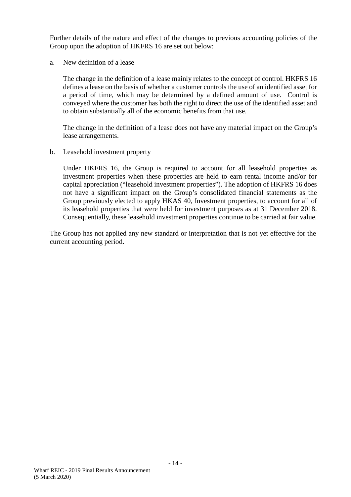Further details of the nature and effect of the changes to previous accounting policies of the Group upon the adoption of HKFRS 16 are set out below:

a. New definition of a lease

The change in the definition of a lease mainly relates to the concept of control. HKFRS 16 defines a lease on the basis of whether a customer controls the use of an identified asset for a period of time, which may be determined by a defined amount of use. Control is conveyed where the customer has both the right to direct the use of the identified asset and to obtain substantially all of the economic benefits from that use.

The change in the definition of a lease does not have any material impact on the Group's lease arrangements.

#### b. Leasehold investment property

Under HKFRS 16, the Group is required to account for all leasehold properties as investment properties when these properties are held to earn rental income and/or for capital appreciation ("leasehold investment properties"). The adoption of HKFRS 16 does not have a significant impact on the Group's consolidated financial statements as the Group previously elected to apply HKAS 40, Investment properties, to account for all of its leasehold properties that were held for investment purposes as at 31 December 2018. Consequentially, these leasehold investment properties continue to be carried at fair value.

The Group has not applied any new standard or interpretation that is not yet effective for the current accounting period.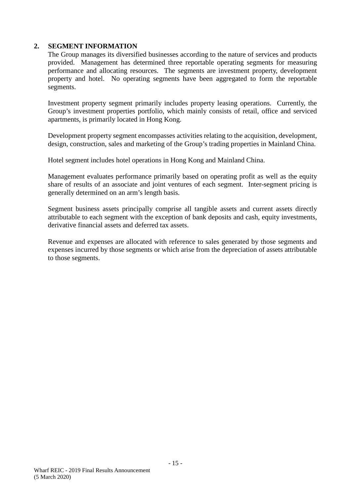The Group manages its diversified businesses according to the nature of services and products provided. Management has determined three reportable operating segments for measuring performance and allocating resources. The segments are investment property, development property and hotel. No operating segments have been aggregated to form the reportable segments.

Investment property segment primarily includes property leasing operations. Currently, the Group's investment properties portfolio, which mainly consists of retail, office and serviced apartments, is primarily located in Hong Kong.

Development property segment encompasses activities relating to the acquisition, development, design, construction, sales and marketing of the Group's trading properties in Mainland China.

Hotel segment includes hotel operations in Hong Kong and Mainland China.

Management evaluates performance primarily based on operating profit as well as the equity share of results of an associate and joint ventures of each segment. Inter-segment pricing is generally determined on an arm's length basis.

Segment business assets principally comprise all tangible assets and current assets directly attributable to each segment with the exception of bank deposits and cash, equity investments, derivative financial assets and deferred tax assets.

Revenue and expenses are allocated with reference to sales generated by those segments and expenses incurred by those segments or which arise from the depreciation of assets attributable to those segments.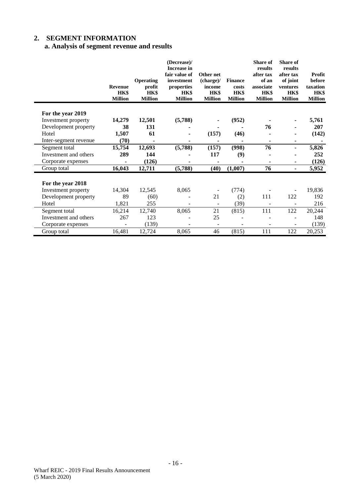# **a. Analysis of segment revenue and results**

|                       | <b>Revenue</b>         | <b>Operating</b><br>profit | (Decrease)/<br><b>Increase in</b><br>fair value of<br>investment<br>properties | Other net<br>(charge)<br>income | <b>Finance</b><br>costs | <b>Share of</b><br>results<br>after tax<br>of an<br>associate | <b>Share of</b><br>results<br>after tax<br>of joint<br>ventures | Profit<br>before<br>taxation |
|-----------------------|------------------------|----------------------------|--------------------------------------------------------------------------------|---------------------------------|-------------------------|---------------------------------------------------------------|-----------------------------------------------------------------|------------------------------|
|                       | HK\$<br><b>Million</b> | HK\$<br><b>Million</b>     | HK\$<br><b>Million</b>                                                         | HK\$<br><b>Million</b>          | HK\$<br><b>Million</b>  | HK\$<br><b>Million</b>                                        | HK\$<br><b>Million</b>                                          | HK\$<br><b>Million</b>       |
|                       |                        |                            |                                                                                |                                 |                         |                                                               |                                                                 |                              |
| For the year 2019     |                        |                            |                                                                                |                                 |                         |                                                               |                                                                 |                              |
| Investment property   | 14,279                 | 12,501                     | (5,788)                                                                        |                                 | (952)                   |                                                               |                                                                 | 5,761                        |
| Development property  | 38                     | 131                        |                                                                                |                                 |                         | 76                                                            |                                                                 | 207                          |
| Hotel                 | 1,507                  | 61                         |                                                                                | (157)                           | (46)                    |                                                               |                                                                 | (142)                        |
| Inter-segment revenue | (70)                   |                            |                                                                                |                                 |                         | $\blacksquare$                                                | ۰                                                               |                              |
| Segment total         | 15,754                 | 12,693                     | (5,788)                                                                        | (157)                           | (998)                   | 76                                                            | ۰                                                               | 5,826                        |
| Investment and others | 289                    | 144                        |                                                                                | 117                             | (9)                     |                                                               |                                                                 | 252                          |
| Corporate expenses    |                        | (126)                      |                                                                                |                                 |                         |                                                               |                                                                 | (126)                        |
| Group total           | 16,043                 | 12,711                     | (5,788)                                                                        | (40)                            | (1,007)                 | 76                                                            | ٠                                                               | 5,952                        |
| For the year 2018     |                        |                            |                                                                                |                                 |                         |                                                               |                                                                 |                              |
| Investment property   | 14,304                 | 12,545                     | 8,065                                                                          |                                 | (774)                   |                                                               |                                                                 | 19,836                       |
| Development property  | 89                     | (60)                       |                                                                                | 21                              | (2)                     | 111                                                           | 122                                                             | 192                          |
| Hotel                 | 1,821                  | 255                        |                                                                                | ۰                               | (39)                    | $\overline{\phantom{m}}$                                      | ۰                                                               | 216                          |
| Segment total         | 16,214                 | 12,740                     | 8,065                                                                          | 21                              | (815)                   | 111                                                           | 122                                                             | 20,244                       |
| Investment and others | 267                    | 123                        |                                                                                | 25                              |                         |                                                               |                                                                 | 148                          |
| Corporate expenses    |                        | (139)                      |                                                                                |                                 |                         |                                                               |                                                                 | (139)                        |
| Group total           | 16,481                 | 12,724                     | 8,065                                                                          | 46                              | (815)                   | 111                                                           | 122                                                             | 20,253                       |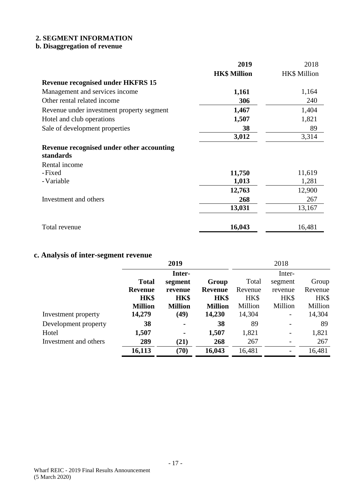# **b. Disaggregation of revenue**

|                                           | 2019                | 2018         |
|-------------------------------------------|---------------------|--------------|
|                                           | <b>HK\$ Million</b> | HK\$ Million |
| <b>Revenue recognised under HKFRS 15</b>  |                     |              |
| Management and services income            | 1,161               | 1,164        |
| Other rental related income               | 306                 | 240          |
| Revenue under investment property segment | 1,467               | 1,404        |
| Hotel and club operations                 | 1,507               | 1,821        |
| Sale of development properties            | 38                  | 89           |
|                                           | 3,012               | 3,314        |
| Revenue recognised under other accounting |                     |              |
| standards                                 |                     |              |
| Rental income                             |                     |              |
| -Fixed                                    | 11,750              | 11,619       |
| - Variable                                | 1,013               | 1,281        |
|                                           | 12,763              | 12,900       |
| Investment and others                     | 268                 | 267          |
|                                           | 13,031              | 13,167       |
|                                           |                     |              |
| Total revenue                             | 16,043              | 16,481       |

# **c. Analysis of inter-segment revenue**

|                       |                | 2019           |                |         | 2018    |         |
|-----------------------|----------------|----------------|----------------|---------|---------|---------|
|                       |                | Inter-         |                |         | Inter-  |         |
|                       | <b>Total</b>   | segment        | Group          | Total   | segment | Group   |
|                       | <b>Revenue</b> | revenue        | <b>Revenue</b> | Revenue | revenue | Revenue |
|                       | HK\$           | HK\$           | HK\$           | HK\$    | HK\$    | HK\$    |
|                       | <b>Million</b> | <b>Million</b> | <b>Million</b> | Million | Million | Million |
| Investment property   | 14,279         | (49)           | 14,230         | 14,304  | -       | 14,304  |
| Development property  | 38             |                | 38             | 89      |         | 89      |
| Hotel                 | 1,507          |                | 1,507          | 1,821   | -       | 1,821   |
| Investment and others | 289            | (21)           | 268            | 267     |         | 267     |
|                       | 16,113         | (70)           | 16,043         | 16,481  |         | 16,481  |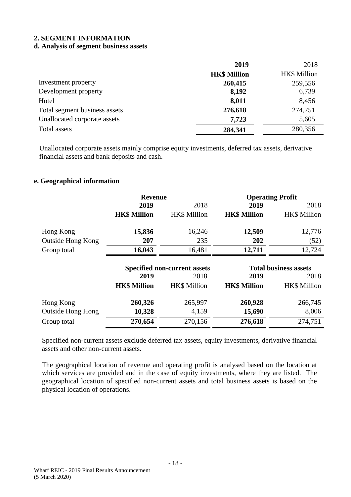#### **d. Analysis of segment business assets**

|                               | 2019                | 2018                |
|-------------------------------|---------------------|---------------------|
|                               | <b>HK\$ Million</b> | <b>HK\$</b> Million |
| Investment property           | 260,415             | 259,556             |
| Development property          | 8,192               | 6,739               |
| Hotel                         | 8,011               | 8,456               |
| Total segment business assets | 276,618             | 274,751             |
| Unallocated corporate assets  | 7,723               | 5,605               |
| Total assets                  | 284,341             | 280,356             |

Unallocated corporate assets mainly comprise equity investments, deferred tax assets, derivative financial assets and bank deposits and cash.

#### **e. Geographical information**

|                          | <b>Revenue</b>      |                                     | <b>Operating Profit</b> |                              |
|--------------------------|---------------------|-------------------------------------|-------------------------|------------------------------|
|                          | 2019                | 2018                                | 2019                    | 2018                         |
|                          | <b>HK\$ Million</b> | <b>HK\$</b> Million                 | <b>HK\$ Million</b>     | <b>HK\$</b> Million          |
| Hong Kong                | 15,836              | 16,246                              | 12,509                  | 12,776                       |
| Outside Hong Kong        | 207                 | 235                                 | 202                     | (52)                         |
| Group total              | 16,043              | 16,481                              | 12,711                  | 12,724                       |
|                          |                     | <b>Specified non-current assets</b> |                         | <b>Total business assets</b> |
|                          |                     |                                     |                         |                              |
|                          | 2019                | 2018                                | 2019                    | 2018                         |
|                          | <b>HK\$ Million</b> | <b>HK\$</b> Million                 | <b>HK\$ Million</b>     | <b>HK\$</b> Million          |
| Hong Kong                | 260,326             | 265,997                             | 260,928                 | 266,745                      |
| <b>Outside Hong Hong</b> | 10,328              | 4,159                               | 15,690                  | 8,006                        |

Specified non-current assets exclude deferred tax assets, equity investments, derivative financial assets and other non-current assets.

The geographical location of revenue and operating profit is analysed based on the location at which services are provided and in the case of equity investments, where they are listed. The geographical location of specified non-current assets and total business assets is based on the physical location of operations.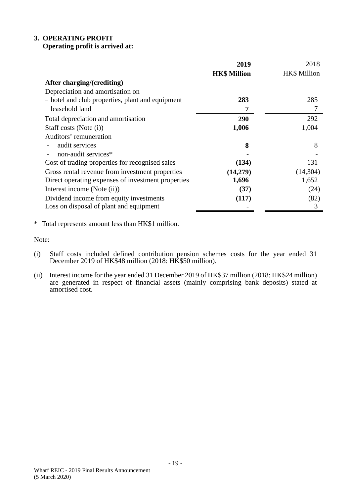# **3. OPERATING PROFIT**

# **Operating profit is arrived at:**

|                                                    | 2019                | 2018                |
|----------------------------------------------------|---------------------|---------------------|
|                                                    | <b>HK\$ Million</b> | <b>HK\$</b> Million |
| After charging/(crediting)                         |                     |                     |
| Depreciation and amortisation on                   |                     |                     |
| - hotel and club properties, plant and equipment   | 283                 | 285                 |
| - leasehold land                                   | 7                   | 7                   |
| Total depreciation and amortisation                | 290                 | 292                 |
| Staff costs (Note (i))                             | 1,006               | 1,004               |
| Auditors' remuneration                             |                     |                     |
| audit services                                     | 8                   | 8                   |
| non-audit services*                                |                     |                     |
| Cost of trading properties for recognised sales    | (134)               | 131                 |
| Gross rental revenue from investment properties    | (14,279)            | (14, 304)           |
| Direct operating expenses of investment properties | 1,696               | 1,652               |
| Interest income (Note (ii))                        | (37)                | (24)                |
| Dividend income from equity investments            | (117)               | (82)                |
| Loss on disposal of plant and equipment            |                     | 3                   |

\* Total represents amount less than HK\$1 million.

Note:

- (i) Staff costs included defined contribution pension schemes costs for the year ended 31 December 2019 of HK\$48 million (2018: HK\$50 million).
- (ii) Interest income for the year ended 31 December 2019 of HK\$37 million (2018: HK\$24 million) are generated in respect of financial assets (mainly comprising bank deposits) stated at amortised cost.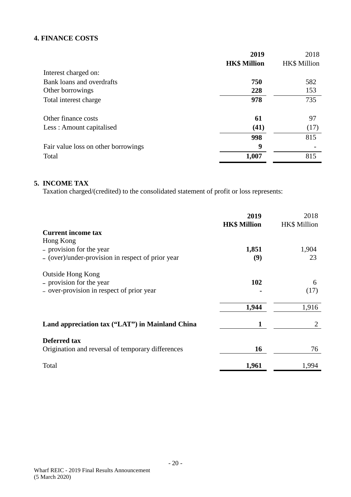# **4. FINANCE COSTS**

|                                     | 2019                | 2018         |
|-------------------------------------|---------------------|--------------|
|                                     | <b>HK\$ Million</b> | HK\$ Million |
| Interest charged on:                |                     |              |
| Bank loans and overdrafts           | 750                 | 582          |
| Other borrowings                    | 228                 | 153          |
| Total interest charge               | 978                 | 735          |
| Other finance costs                 | 61                  | 97           |
| Less: Amount capitalised            | (41)                | (17)         |
|                                     | 998                 | 815          |
| Fair value loss on other borrowings | 9                   |              |
| Total                               | 1,007               | 815          |

#### **5. INCOME TAX**

Taxation charged/(credited) to the consolidated statement of profit or loss represents:

|                                                   | 2019<br><b>HK\$ Million</b> | 2018<br><b>HK\$</b> Million |
|---------------------------------------------------|-----------------------------|-----------------------------|
| <b>Current income tax</b>                         |                             |                             |
| Hong Kong                                         |                             |                             |
| - provision for the year                          | 1,851                       | 1,904                       |
| - (over)/under-provision in respect of prior year | (9)                         | 23                          |
| <b>Outside Hong Kong</b>                          |                             |                             |
| - provision for the year                          | 102                         | 6                           |
| - over-provision in respect of prior year         |                             | (17)                        |
|                                                   | 1,944                       | 1,916                       |
|                                                   |                             |                             |
| Land appreciation tax ("LAT") in Mainland China   | 1                           | 2                           |
| Deferred tax                                      |                             |                             |
| Origination and reversal of temporary differences | 16                          | 76                          |
| Total                                             | 1,961                       | 1,994                       |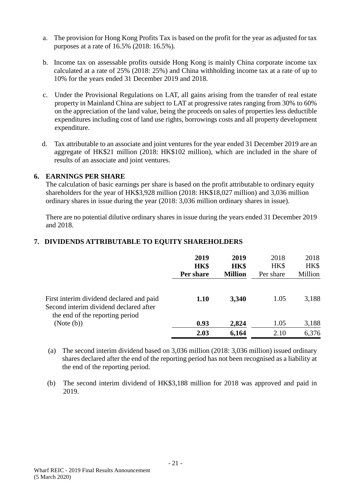- a. The provision for Hong Kong Profits Tax is based on the profit for the year as adjusted for tax purposes at a rate of 16.5% (2018: 16.5%).
- b. Income tax on assessable profits outside Hong Kong is mainly China corporate income tax calculated at a rate of 25% (2018: 25%) and China withholding income tax at a rate of up to 10% for the years ended 31 December 2019 and 2018.
- c. Under the Provisional Regulations on LAT, all gains arising from the transfer of real estate property in Mainland China are subject to LAT at progressive rates ranging from 30% to 60% on the appreciation of the land value, being the proceeds on sales of properties less deductible expenditures including cost of land use rights, borrowings costs and all property development expenditure.
- d. Tax attributable to an associate and joint ventures for the year ended 31 December 2019 are an aggregate of HK\$21 million (2018: HK\$102 million), which are included in the share of results of an associate and joint ventures.

### **6. EARNINGS PER SHARE**

The calculation of basic earnings per share is based on the profit attributable to ordinary equity shareholders for the year of HK\$3,928 million (2018: HK\$18,027 million) and 3,036 million ordinary shares in issue during the year (2018: 3,036 million ordinary shares in issue).

There are no potential dilutive ordinary shares in issue during the years ended 31 December 2019 and 2018.

### **7. DIVIDENDS ATTRIBUTABLE TO EQUITY SHAREHOLDERS**

|                                                                                    | 2019<br>HK\$<br>Per share | 2019<br>HK\$<br><b>Million</b> | 2018<br>HK\$<br>Per share | 2018<br>HK\$<br>Million |
|------------------------------------------------------------------------------------|---------------------------|--------------------------------|---------------------------|-------------------------|
| First interim dividend declared and paid<br>Second interim dividend declared after | 1.10                      | 3,340                          | 1.05                      | 3,188                   |
| the end of the reporting period<br>(Note (b))                                      | 0.93                      | 2,824                          | 1.05                      | 3,188                   |
|                                                                                    | 2.03                      | 6,164                          | 2.10                      | 6,376                   |

- (a) The second interim dividend based on 3,036 million (2018: 3,036 million) issued ordinary shares declared after the end of the reporting period has not been recognised as a liability at the end of the reporting period.
- (b) The second interim dividend of HK\$3,188 million for 2018 was approved and paid in 2019.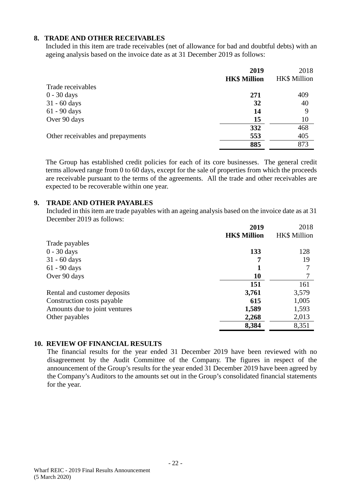### **8. TRADE AND OTHER RECEIVABLES**

Included in this item are trade receivables (net of allowance for bad and doubtful debts) with an ageing analysis based on the invoice date as at 31 December 2019 as follows:

|                                   | 2019                | 2018                |
|-----------------------------------|---------------------|---------------------|
|                                   | <b>HK\$ Million</b> | <b>HK\$ Million</b> |
| Trade receivables                 |                     |                     |
| $0 - 30$ days                     | 271                 | 409                 |
| 31 - 60 days                      | 32                  | 40                  |
| 61 - 90 days                      | 14                  | 9                   |
| Over 90 days                      | 15                  | 10                  |
|                                   | 332                 | 468                 |
| Other receivables and prepayments | 553                 | 405                 |
|                                   | 885                 | 873                 |

The Group has established credit policies for each of its core businesses. The general credit terms allowed range from 0 to 60 days, except for the sale of properties from which the proceeds are receivable pursuant to the terms of the agreements. All the trade and other receivables are expected to be recoverable within one year.

### **9. TRADE AND OTHER PAYABLES**

Included in this item are trade payables with an ageing analysis based on the invoice date as at 31 December 2019 as follows:

|                               | 2019                | 2018                |
|-------------------------------|---------------------|---------------------|
|                               | <b>HK\$ Million</b> | <b>HK\$</b> Million |
| Trade payables                |                     |                     |
| $0 - 30$ days                 | 133                 | 128                 |
| $31 - 60$ days                |                     | 19                  |
| 61 - 90 days                  |                     |                     |
| Over 90 days                  | 10                  |                     |
|                               | 151                 | 161                 |
| Rental and customer deposits  | 3,761               | 3,579               |
| Construction costs payable    | 615                 | 1,005               |
| Amounts due to joint ventures | 1,589               | 1,593               |
| Other payables                | 2,268               | 2,013               |
|                               | 8,384               | 8,351               |

#### **10. REVIEW OF FINANCIAL RESULTS**

The financial results for the year ended 31 December 2019 have been reviewed with no disagreement by the Audit Committee of the Company. The figures in respect of the announcement of the Group's results for the year ended 31 December 2019 have been agreed by the Company's Auditors to the amounts set out in the Group's consolidated financial statements for the year.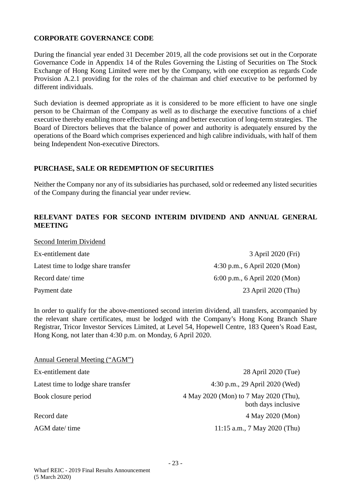### **CORPORATE GOVERNANCE CODE**

During the financial year ended 31 December 2019, all the code provisions set out in the Corporate Governance Code in Appendix 14 of the Rules Governing the Listing of Securities on The Stock Exchange of Hong Kong Limited were met by the Company, with one exception as regards Code Provision A.2.1 providing for the roles of the chairman and chief executive to be performed by different individuals.

Such deviation is deemed appropriate as it is considered to be more efficient to have one single person to be Chairman of the Company as well as to discharge the executive functions of a chief executive thereby enabling more effective planning and better execution of long-term strategies. The Board of Directors believes that the balance of power and authority is adequately ensured by the operations of the Board which comprises experienced and high calibre individuals, with half of them being Independent Non-executive Directors.

#### **PURCHASE, SALE OR REDEMPTION OF SECURITIES**

Neither the Company nor any of its subsidiaries has purchased, sold or redeemed any listed securities of the Company during the financial year under review.

#### **RELEVANT DATES FOR SECOND INTERIM DIVIDEND AND ANNUAL GENERAL MEETING**

| Second Interim Dividend             |                               |
|-------------------------------------|-------------------------------|
| Ex-entitlement date                 | 3 April 2020 (Fri)            |
| Latest time to lodge share transfer | 4:30 p.m., 6 April 2020 (Mon) |
| Record date/ time                   | 6:00 p.m., 6 April 2020 (Mon) |
| Payment date                        | 23 April 2020 (Thu)           |

In order to qualify for the above-mentioned second interim dividend, all transfers, accompanied by the relevant share certificates, must be lodged with the Company's Hong Kong Branch Share Registrar, Tricor Investor Services Limited, at Level 54, Hopewell Centre, 183 Queen's Road East, Hong Kong, not later than 4:30 p.m. on Monday, 6 April 2020.

| Annual General Meeting ("AGM")      |                                                              |
|-------------------------------------|--------------------------------------------------------------|
| Ex-entitlement date                 | 28 April 2020 (Tue)                                          |
| Latest time to lodge share transfer | 4:30 p.m., 29 April 2020 (Wed)                               |
| Book closure period                 | 4 May 2020 (Mon) to 7 May 2020 (Thu),<br>both days inclusive |
| Record date                         | 4 May 2020 (Mon)                                             |
| AGM date/ time                      | 11:15 a.m., 7 May 2020 (Thu)                                 |